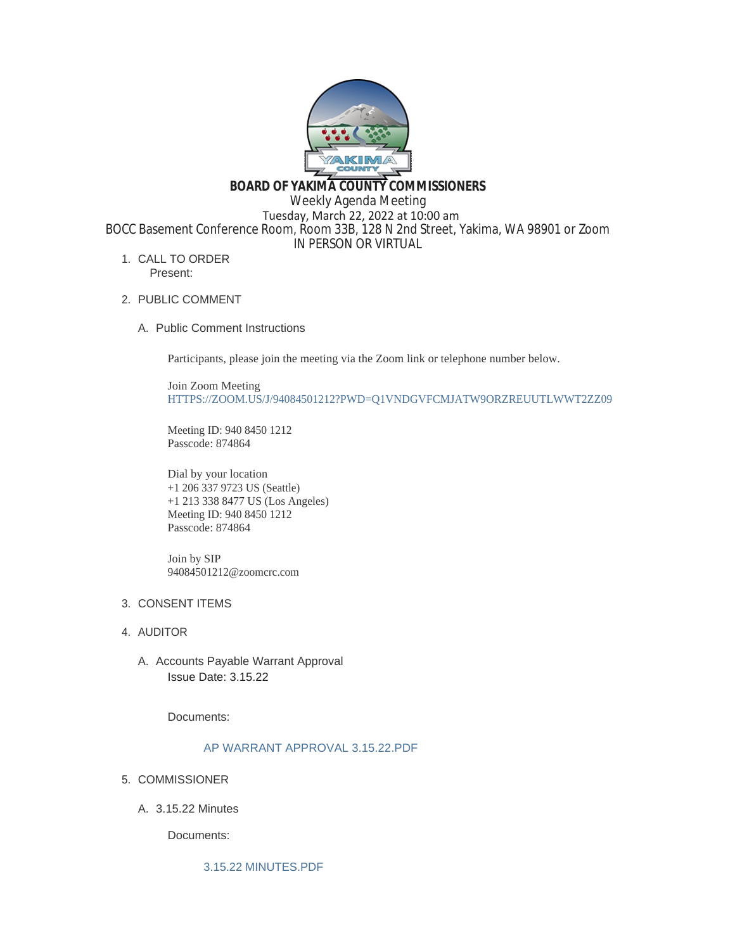

**BOARD OF YAKIMA COUNTY COMMISSIONERS**

Weekly Agenda Meeting

 Tuesday, March 22, 2022 at 10:00 am BOCC Basement Conference Room, Room 33B, 128 N 2nd Street, Yakima, WA 98901 or Zoom

IN PERSON OR VIRTUAL

- 1. CALL TO ORDER Present:
- 2. PUBLIC COMMENT
	- A. Public Comment Instructions

Participants, please join the meeting via the Zoom link or telephone number below.

Join Zoom Meeting [HTTPS://ZOOM.US/J/94084501212?PWD=Q1VNDGVFCMJATW9ORZREUUTLWWT2ZZ09](https://zoom.us/j/94084501212?pwd=Q1VNdGVFcmJaTW9ORzREUUtlWWt2Zz09)

Meeting ID: 940 8450 1212 Passcode: 874864

Dial by your location +1 206 337 9723 US (Seattle) +1 213 338 8477 US (Los Angeles) Meeting ID: 940 8450 1212 Passcode: 874864

Join by SIP 94084501212@zoomcrc.com

# 3. CONSENT ITEMS

- 4. AUDITOR
	- A. Accounts Payable Warrant Approval Issue Date: 3.15.22

Documents:

# [AP WARRANT APPROVAL 3.15.22.PDF](https://www.yakimacounty.us/AgendaCenter/ViewFile/Item/4022?fileID=16005)

- 5. COMMISSIONER
	- 3.15.22 Minutes A.

Documents:

[3.15.22 MINUTES.PDF](https://www.yakimacounty.us/AgendaCenter/ViewFile/Item/4021?fileID=16004)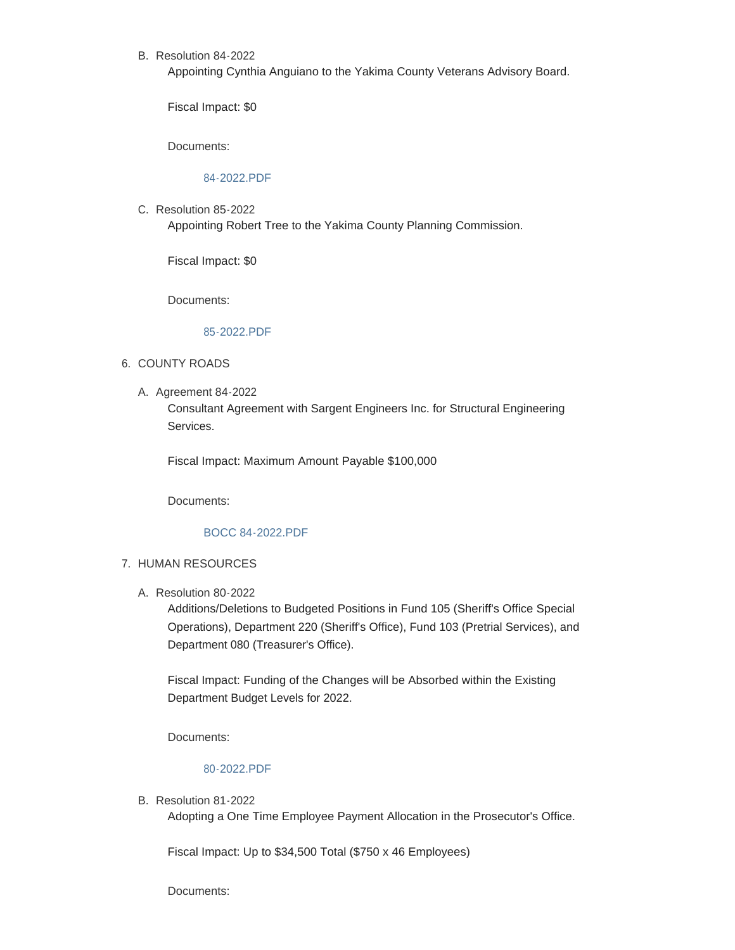B. Resolution 84-2022

Appointing Cynthia Anguiano to the Yakima County Veterans Advisory Board.

Fiscal Impact: \$0

Documents:

## [84-2022.PDF](https://www.yakimacounty.us/AgendaCenter/ViewFile/Item/4051?fileID=16024)

C. Resolution 85-2022

Appointing Robert Tree to the Yakima County Planning Commission.

Fiscal Impact: \$0

Documents:

#### [85-2022.PDF](https://www.yakimacounty.us/AgendaCenter/ViewFile/Item/4052?fileID=16023)

#### 6. COUNTY ROADS

A. Agreement 84-2022

Consultant Agreement with Sargent Engineers Inc. for Structural Engineering Services.

Fiscal Impact: Maximum Amount Payable \$100,000

Documents:

#### [BOCC 84-2022.PDF](https://www.yakimacounty.us/AgendaCenter/ViewFile/Item/4023?fileID=16006)

#### 7. HUMAN RESOURCES

Resolution 80-2022 A.

Additions/Deletions to Budgeted Positions in Fund 105 (Sheriff's Office Special Operations), Department 220 (Sheriff's Office), Fund 103 (Pretrial Services), and Department 080 (Treasurer's Office).

Fiscal Impact: Funding of the Changes will be Absorbed within the Existing Department Budget Levels for 2022.

Documents:

## [80-2022.PDF](https://www.yakimacounty.us/AgendaCenter/ViewFile/Item/4024?fileID=16007)

B. Resolution 81-2022

Adopting a One Time Employee Payment Allocation in the Prosecutor's Office.

Fiscal Impact: Up to \$34,500 Total (\$750 x 46 Employees)

Documents: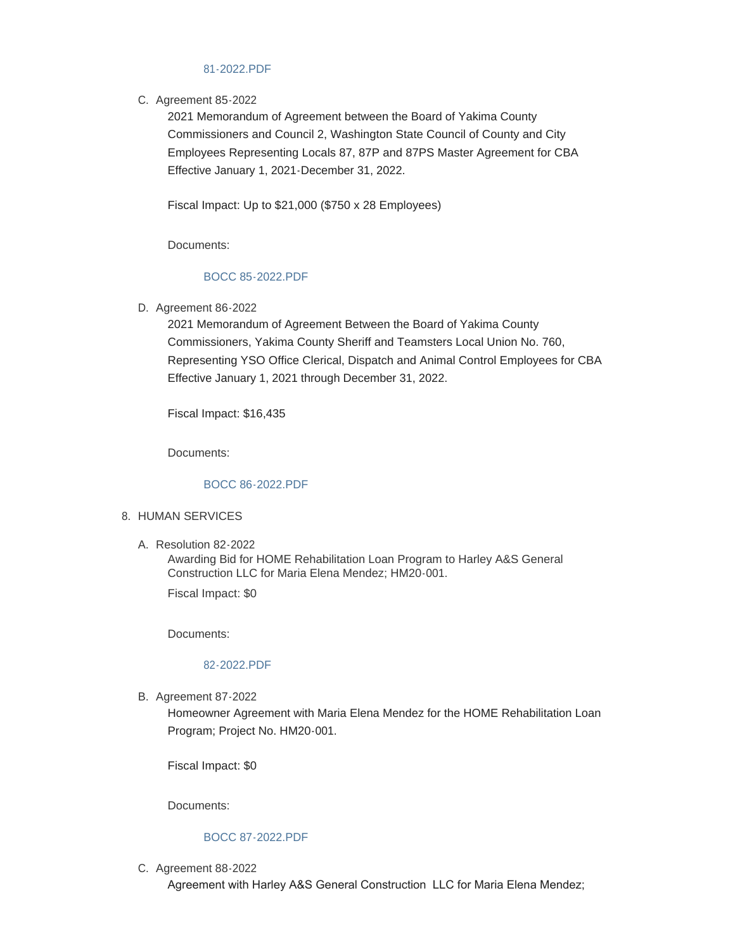## [81-2022.PDF](https://www.yakimacounty.us/AgendaCenter/ViewFile/Item/4025?fileID=16008)

## C. Agreement 85-2022

2021 Memorandum of Agreement between the Board of Yakima County Commissioners and Council 2, Washington State Council of County and City Employees Representing Locals 87, 87P and 87PS Master Agreement for CBA Effective January 1, 2021-December 31, 2022.

Fiscal Impact: Up to \$21,000 (\$750 x 28 Employees)

Documents:

# [BOCC 85-2022.PDF](https://www.yakimacounty.us/AgendaCenter/ViewFile/Item/4026?fileID=16009)

D. Agreement 86-2022

2021 Memorandum of Agreement Between the Board of Yakima County Commissioners, Yakima County Sheriff and Teamsters Local Union No. 760, Representing YSO Office Clerical, Dispatch and Animal Control Employees for CBA Effective January 1, 2021 through December 31, 2022.

Fiscal Impact: \$16,435

Documents:

# [BOCC 86-2022.PDF](https://www.yakimacounty.us/AgendaCenter/ViewFile/Item/4027?fileID=16010)

## 8. HUMAN SERVICES

Resolution 82-2022 A.

Awarding Bid for HOME Rehabilitation Loan Program to Harley A&S General Construction LLC for Maria Elena Mendez; HM20-001.

Fiscal Impact: \$0

Documents:

#### [82-2022.PDF](https://www.yakimacounty.us/AgendaCenter/ViewFile/Item/4028?fileID=16011)

B. Agreement 87-2022

Homeowner Agreement with Maria Elena Mendez for the HOME Rehabilitation Loan Program; Project No. HM20-001.

Fiscal Impact: \$0

Documents:

#### [BOCC 87-2022.PDF](https://www.yakimacounty.us/AgendaCenter/ViewFile/Item/4029?fileID=16012)

C. Agreement 88-2022

Agreement with Harley A&S General Construction LLC for Maria Elena Mendez;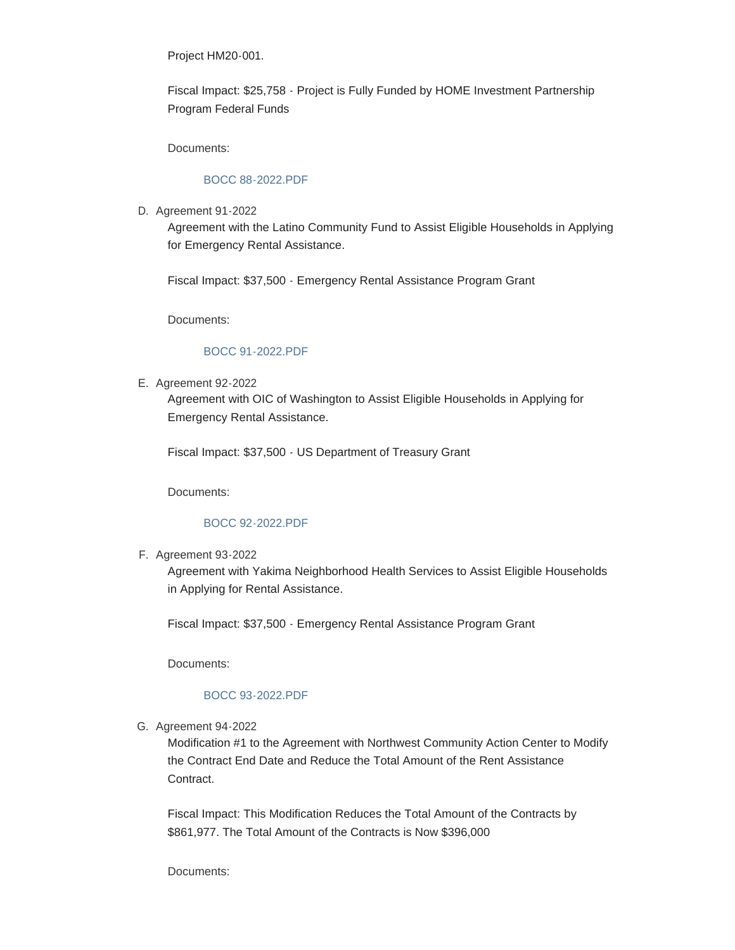Project HM20-001.

Fiscal Impact: \$25,758 - Project is Fully Funded by HOME Investment Partnership Program Federal Funds

Documents:

# [BOCC 88-2022.PDF](https://www.yakimacounty.us/AgendaCenter/ViewFile/Item/4030?fileID=16013)

D. Agreement 91-2022

Agreement with the Latino Community Fund to Assist Eligible Households in Applying for Emergency Rental Assistance.

Fiscal Impact: \$37,500 - Emergency Rental Assistance Program Grant

Documents:

#### [BOCC 91-2022.PDF](https://www.yakimacounty.us/AgendaCenter/ViewFile/Item/4047?fileID=16018)

E. Agreement 92-2022

Agreement with OIC of Washington to Assist Eligible Households in Applying for Emergency Rental Assistance.

Fiscal Impact: \$37,500 - US Department of Treasury Grant

Documents:

#### [BOCC 92-2022.PDF](https://www.yakimacounty.us/AgendaCenter/ViewFile/Item/4048?fileID=16019)

F. Agreement 93-2022

Agreement with Yakima Neighborhood Health Services to Assist Eligible Households in Applying for Rental Assistance.

Fiscal Impact: \$37,500 - Emergency Rental Assistance Program Grant

Documents:

#### [BOCC 93-2022.PDF](https://www.yakimacounty.us/AgendaCenter/ViewFile/Item/4049?fileID=16020)

G. Agreement 94-2022

Modification #1 to the Agreement with Northwest Community Action Center to Modify the Contract End Date and Reduce the Total Amount of the Rent Assistance Contract.

Fiscal Impact: This Modification Reduces the Total Amount of the Contracts by \$861,977. The Total Amount of the Contracts is Now \$396,000

Documents: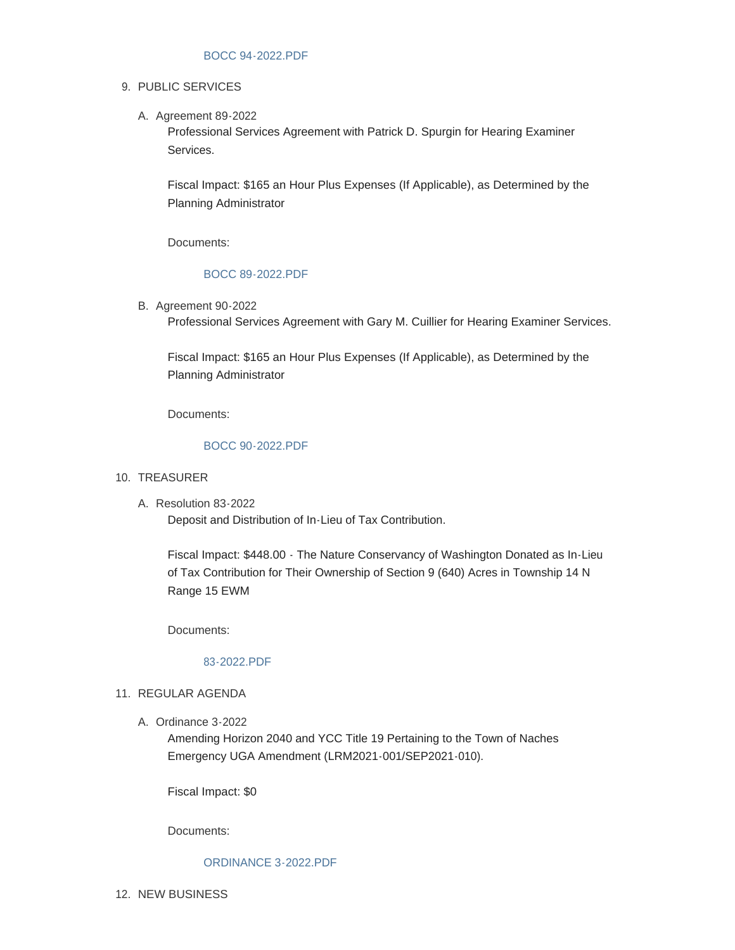## 9. PUBLIC SERVICES

A. Agreement 89-2022

Professional Services Agreement with Patrick D. Spurgin for Hearing Examiner Services.

Fiscal Impact: \$165 an Hour Plus Expenses (If Applicable), as Determined by the Planning Administrator

Documents:

# [BOCC 89-2022.PDF](https://www.yakimacounty.us/AgendaCenter/ViewFile/Item/4031?fileID=16014)

**B.** Agreement 90-2022

Professional Services Agreement with Gary M. Cuillier for Hearing Examiner Services.

Fiscal Impact: \$165 an Hour Plus Expenses (If Applicable), as Determined by the Planning Administrator

Documents:

## [BOCC 90-2022.PDF](https://www.yakimacounty.us/AgendaCenter/ViewFile/Item/4032?fileID=16015)

# 10. TREASURER

Resolution 83-2022 A.

Deposit and Distribution of In-Lieu of Tax Contribution.

Fiscal Impact: \$448.00 - The Nature Conservancy of Washington Donated as In-Lieu of Tax Contribution for Their Ownership of Section 9 (640) Acres in Township 14 N Range 15 EWM

Documents:

#### [83-2022.PDF](https://www.yakimacounty.us/AgendaCenter/ViewFile/Item/4034?fileID=16017)

## 11. REGULAR AGENDA

A. Ordinance 3-2022

Amending Horizon 2040 and YCC Title 19 Pertaining to the Town of Naches Emergency UGA Amendment (LRM2021-001/SEP2021-010).

Fiscal Impact: \$0

Documents:

#### [ORDINANCE 3-2022.PDF](https://www.yakimacounty.us/AgendaCenter/ViewFile/Item/4033?fileID=16016)

12. NEW BUSINESS